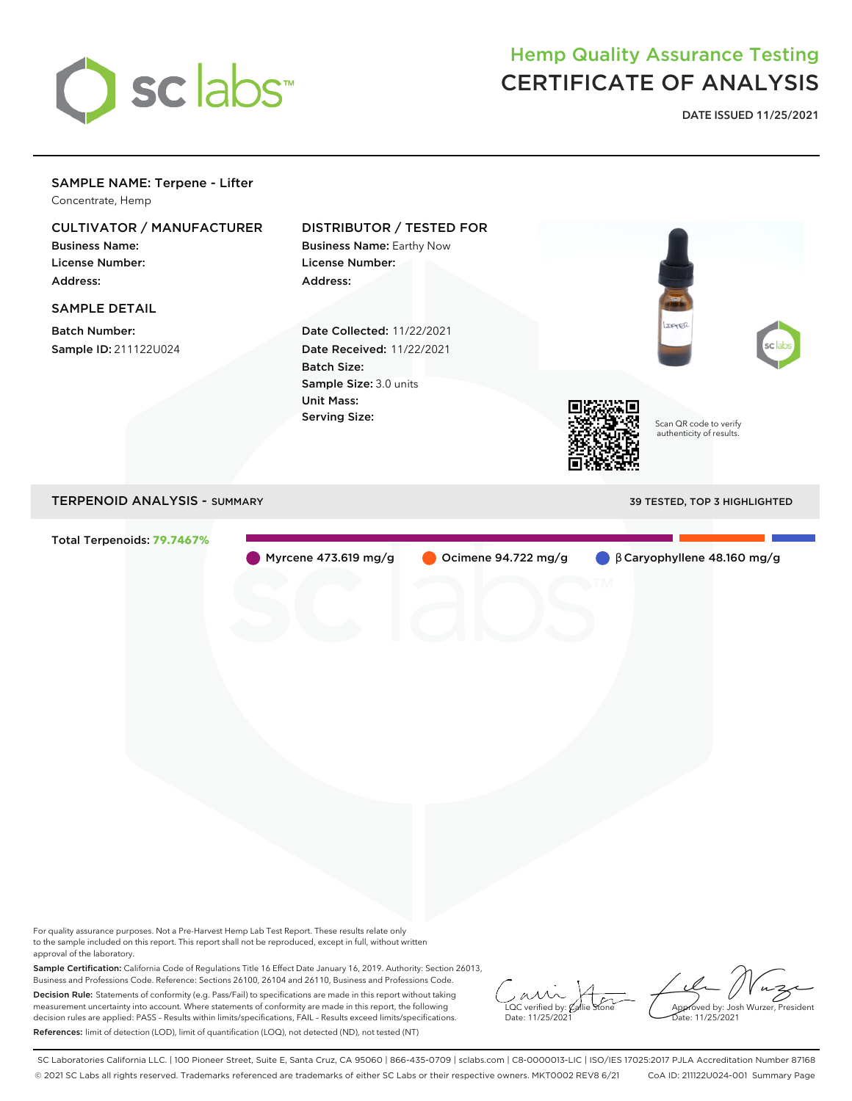

## Hemp Quality Assurance Testing CERTIFICATE OF ANALYSIS

**DATE ISSUED 11/25/2021**

## SAMPLE NAME: Terpene - Lifter

Concentrate, Hemp

## CULTIVATOR / MANUFACTURER

Business Name: License Number: Address:

## SAMPLE DETAIL

Batch Number: Sample ID: 211122U024

## DISTRIBUTOR / TESTED FOR

Business Name: Earthy Now License Number: Address:

Date Collected: 11/22/2021 Date Received: 11/22/2021 Batch Size: Sample Size: 3.0 units Unit Mass: Serving Size:



Scan QR code to verify authenticity of results.

## TERPENOID ANALYSIS - SUMMARY 39 TESTED, TOP 3 HIGHLIGHTED

Total Terpenoids: **79.7467%**

Myrcene 473.619 mg/g Ocimene 94.722 mg/g β Caryophyllene 48.160 mg/g

For quality assurance purposes. Not a Pre-Harvest Hemp Lab Test Report. These results relate only to the sample included on this report. This report shall not be reproduced, except in full, without written approval of the laboratory.

Sample Certification: California Code of Regulations Title 16 Effect Date January 16, 2019. Authority: Section 26013, Business and Professions Code. Reference: Sections 26100, 26104 and 26110, Business and Professions Code. Decision Rule: Statements of conformity (e.g. Pass/Fail) to specifications are made in this report without taking measurement uncertainty into account. Where statements of conformity are made in this report, the following decision rules are applied: PASS – Results within limits/specifications, FAIL – Results exceed limits/specifications. References: limit of detection (LOD), limit of quantification (LOQ), not detected (ND), not tested (NT)

 $\overline{\text{LOC}}$  verified by:  $\mathcal C$ Date: 11/25/2021

Approved by: Josh Wurzer, President ate: 11/25/2021

SC Laboratories California LLC. | 100 Pioneer Street, Suite E, Santa Cruz, CA 95060 | 866-435-0709 | sclabs.com | C8-0000013-LIC | ISO/IES 17025:2017 PJLA Accreditation Number 87168 © 2021 SC Labs all rights reserved. Trademarks referenced are trademarks of either SC Labs or their respective owners. MKT0002 REV8 6/21 CoA ID: 211122U024-001 Summary Page